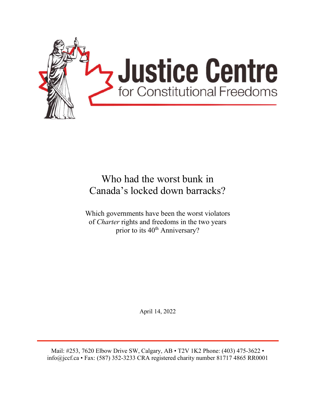

# Who had the worst bunk in Canada's locked down barracks?

Which governments have been the worst violators of *Charter* rights and freedoms in the two years prior to its 40<sup>th</sup> Anniversary?

April 14, 2022

Mail: #253, 7620 Elbow Drive SW, Calgary, AB • T2V 1K2 Phone: (403) 475-3622 • info@jccf.ca • Fax: (587) 352-3233 CRA registered charity number 81717 4865 RR0001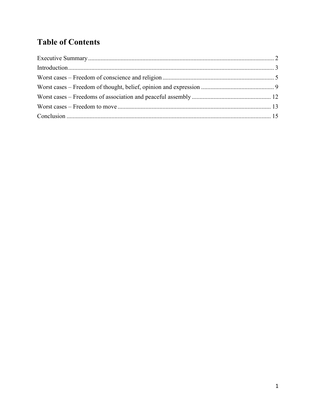# **Table of Contents**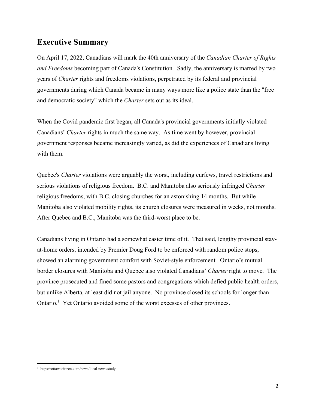## **Executive Summary**

On April 17, 2022, Canadians will mark the 40th anniversary of the *Canadian Charter of Rights and Freedoms* becoming part of Canada's Constitution. Sadly, the anniversary is marred by two years of *Charter* rights and freedoms violations, perpetrated by its federal and provincial governments during which Canada became in many ways more like a police state than the "free and democratic society" which the *Charter* sets out as its ideal.

When the Covid pandemic first began, all Canada's provincial governments initially violated Canadians' *Charter* rights in much the same way. As time went by however, provincial government responses became increasingly varied, as did the experiences of Canadians living with them.

Quebec's *Charter* violations were arguably the worst, including curfews, travel restrictions and serious violations of religious freedom. B.C. and Manitoba also seriously infringed *Charter* religious freedoms, with B.C. closing churches for an astonishing 14 months. But while Manitoba also violated mobility rights, its church closures were measured in weeks, not months. After Quebec and B.C., Manitoba was the third-worst place to be.

Canadians living in Ontario had a somewhat easier time of it. That said, lengthy provincial stayat-home orders, intended by Premier Doug Ford to be enforced with random police stops, showed an alarming government comfort with Soviet-style enforcement. Ontario's mutual border closures with Manitoba and Quebec also violated Canadians' *Charter* right to move. The province prosecuted and fined some pastors and congregations which defied public health orders, but unlike Alberta, at least did not jail anyone. No province closed its schools for longer than Ontario.<sup>1</sup> Yet Ontario avoided some of the worst excesses of other provinces.

<sup>1</sup> https://ottawacitizen.com/news/local-news/study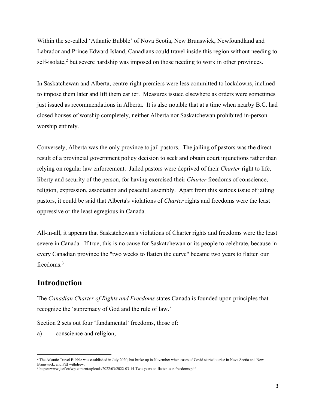Within the so-called 'Atlantic Bubble' of Nova Scotia, New Brunswick, Newfoundland and Labrador and Prince Edward Island, Canadians could travel inside this region without needing to self-isolate,<sup>2</sup> but severe hardship was imposed on those needing to work in other provinces.

In Saskatchewan and Alberta, centre-right premiers were less committed to lockdowns, inclined to impose them later and lift them earlier. Measures issued elsewhere as orders were sometimes just issued as recommendations in Alberta. It is also notable that at a time when nearby B.C. had closed houses of worship completely, neither Alberta nor Saskatchewan prohibited in-person worship entirely.

Conversely, Alberta was the only province to jail pastors. The jailing of pastors was the direct result of a provincial government policy decision to seek and obtain court injunctions rather than relying on regular law enforcement. Jailed pastors were deprived of their *Charter* right to life, liberty and security of the person, for having exercised their *Charter* freedoms of conscience, religion, expression, association and peaceful assembly. Apart from this serious issue of jailing pastors, it could be said that Alberta's violations of *Charter* rights and freedoms were the least oppressive or the least egregious in Canada.

All-in-all, it appears that Saskatchewan's violations of Charter rights and freedoms were the least severe in Canada. If true, this is no cause for Saskatchewan or its people to celebrate, because in every Canadian province the "two weeks to flatten the curve" became two years to flatten our freedoms. 3

## **Introduction**

The *Canadian Charter of Rights and Freedoms* states Canada is founded upon principles that recognize the 'supremacy of God and the rule of law.'

Section 2 sets out four 'fundamental' freedoms, those of:

a) conscience and religion;

<sup>&</sup>lt;sup>2</sup> The Atlantic Travel Bubble was established in July 2020, but broke up in November when cases of Covid started to rise in Nova Scotia and New Brunswick, and PEI withdrew.

<sup>3</sup> https://www.jccf.ca/wp-content/uploads/2022/03/2022-03-14-Two-years-to-flatten-our-freedoms.pdf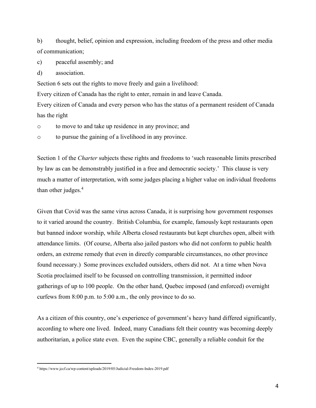b) thought, belief, opinion and expression, including freedom of the press and other media of communication;

c) peaceful assembly; and

d) association.

Section 6 sets out the rights to move freely and gain a livelihood:

Every citizen of Canada has the right to enter, remain in and leave Canada.

Every citizen of Canada and every person who has the status of a permanent resident of Canada has the right

o to move to and take up residence in any province; and

o to pursue the gaining of a livelihood in any province.

Section 1 of the *Charter* subjects these rights and freedoms to 'such reasonable limits prescribed by law as can be demonstrably justified in a free and democratic society.' This clause is very much a matter of interpretation, with some judges placing a higher value on individual freedoms than other judges. 4

Given that Covid was the same virus across Canada, it is surprising how government responses to it varied around the country. British Columbia, for example, famously kept restaurants open but banned indoor worship, while Alberta closed restaurants but kept churches open, albeit with attendance limits. (Of course, Alberta also jailed pastors who did not conform to public health orders, an extreme remedy that even in directly comparable circumstances, no other province found necessary.) Some provinces excluded outsiders, others did not. At a time when Nova Scotia proclaimed itself to be focussed on controlling transmission, it permitted indoor gatherings of up to 100 people. On the other hand, Quebec imposed (and enforced) overnight curfews from 8:00 p.m. to 5:00 a.m., the only province to do so.

As a citizen of this country, one's experience of government's heavy hand differed significantly, according to where one lived. Indeed, many Canadians felt their country was becoming deeply authoritarian, a police state even. Even the supine CBC, generally a reliable conduit for the

<sup>4</sup> https://www.jccf.ca/wp-content/uploads/2019/05/Judicial-Freedom-Index-2019.pdf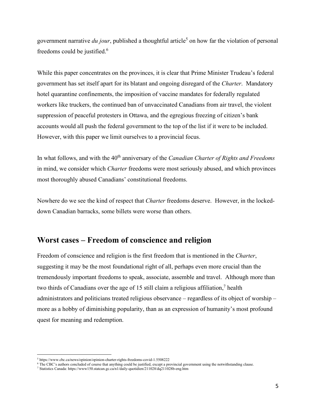government narrative *du jour*, published a thoughtful article<sup>5</sup> on how far the violation of personal freedoms could be justified.<sup>6</sup>

While this paper concentrates on the provinces, it is clear that Prime Minister Trudeau's federal government has set itself apart for its blatant and ongoing disregard of the *Charter*. Mandatory hotel quarantine confinements, the imposition of vaccine mandates for federally regulated workers like truckers, the continued ban of unvaccinated Canadians from air travel, the violent suppression of peaceful protesters in Ottawa, and the egregious freezing of citizen's bank accounts would all push the federal government to the top of the list if it were to be included. However, with this paper we limit ourselves to a provincial focus.

In what follows, and with the 40<sup>th</sup> anniversary of the *Canadian Charter of Rights and Freedoms* in mind, we consider which *Charter* freedoms were most seriously abused, and which provinces most thoroughly abused Canadians' constitutional freedoms.

Nowhere do we see the kind of respect that *Charter* freedoms deserve. However, in the lockeddown Canadian barracks, some billets were worse than others.

#### **Worst cases – Freedom of conscience and religion**

Freedom of conscience and religion is the first freedom that is mentioned in the *Charter*, suggesting it may be the most foundational right of all, perhaps even more crucial than the tremendously important freedoms to speak, associate, assemble and travel. Although more than two thirds of Canadians over the age of 15 still claim a religious affiliation, $\frac{7}{1}$  health administrators and politicians treated religious observance – regardless of its object of worship – more as a hobby of diminishing popularity, than as an expression of humanity's most profound quest for meaning and redemption.

<sup>5</sup> https://www.cbc.ca/news/opinion/opinion-charter-rights-freedoms-covid-1.5508222

<sup>6</sup> The CBC's authors concluded of course that anything could be justified, except a provincial government using the notwithstanding clause.

<sup>7</sup> Statistics Canada: https://www150.statcan.gc.ca/n1/daily-quotidien/211028/dq211028b-eng.htm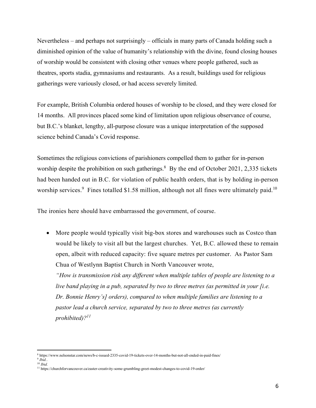Nevertheless – and perhaps not surprisingly – officials in many parts of Canada holding such a diminished opinion of the value of humanity's relationship with the divine, found closing houses of worship would be consistent with closing other venues where people gathered, such as theatres, sports stadia, gymnasiums and restaurants. As a result, buildings used for religious gatherings were variously closed, or had access severely limited.

For example, British Columbia ordered houses of worship to be closed, and they were closed for 14 months. All provinces placed some kind of limitation upon religious observance of course, but B.C.'s blanket, lengthy, all-purpose closure was a unique interpretation of the supposed science behind Canada's Covid response.

Sometimes the religious convictions of parishioners compelled them to gather for in-person worship despite the prohibition on such gatherings. $8$  By the end of October 2021, 2,335 tickets had been handed out in B.C. for violation of public health orders, that is by holding in-person worship services.<sup>9</sup> Fines totalled \$1.58 million, although not all fines were ultimately paid.<sup>10</sup>

The ironies here should have embarrassed the government, of course.

 More people would typically visit big-box stores and warehouses such as Costco than would be likely to visit all but the largest churches. Yet, B.C. allowed these to remain open, albeit with reduced capacity: five square metres per customer. As Pastor Sam Chua of Westlynn Baptist Church in North Vancouver wrote,

*"How is transmission risk any different when multiple tables of people are listening to a live band playing in a pub, separated by two to three metres (as permitted in your [i.e. Dr. Bonnie Henry's] orders), compared to when multiple families are listening to a pastor lead a church service, separated by two to three metres (as currently prohibited)?11*

<sup>8</sup> https://www.nelsonstar.com/news/b-c-issued-2335-covid-19-tickets-over-14-months-but-not-all-ended-in-paid-fines/

<sup>9</sup> *Ibid.*. <sup>10</sup> *Ibid.*

<sup>11</sup> https://churchforvancouver.ca/easter-creativity-some-grumbling-greet-modest-changes-to-covid-19-order/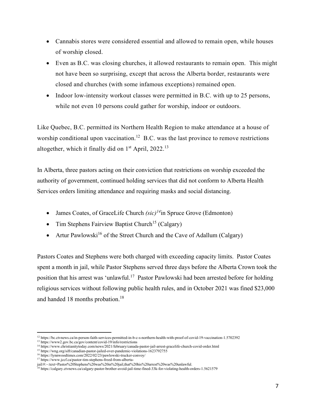- Cannabis stores were considered essential and allowed to remain open, while houses of worship closed.
- Even as B.C. was closing churches, it allowed restaurants to remain open. This might not have been so surprising, except that across the Alberta border, restaurants were closed and churches (with some infamous exceptions) remained open.
- $\bullet$  Indoor low-intensity workout classes were permitted in B.C. with up to 25 persons, while not even 10 persons could gather for worship, indoor or outdoors.

Like Quebec, B.C. permitted its Northern Health Region to make attendance at a house of worship conditional upon vaccination.<sup>12</sup> B.C. was the last province to remove restrictions altogether, which it finally did on  $1<sup>st</sup>$  April, 2022.<sup>13</sup>

In Alberta, three pastors acting on their conviction that restrictions on worship exceeded the authority of government, continued holding services that did not conform to Alberta Health Services orders limiting attendance and requiring masks and social distancing.

- James Coates, of GraceLife Church *(sic)<sup>14</sup>*in Spruce Grove (Edmonton)
- Tim Stephens Fairview Baptist Church<sup>15</sup> (Calgary)
- Artur Pawlowski<sup>16</sup> of the Street Church and the Cave of Adallum (Calgary)

Pastors Coates and Stephens were both charged with exceeding capacity limits. Pastor Coates spent a month in jail, while Pastor Stephens served three days before the Alberta Crown took the position that his arrest was 'unlawful.<sup>17</sup> Pastor Pawlowski had been arrested before for holding religious services without following public health rules, and in October 2021 was fined \$23,000 and handed 18 months probation.<sup>18</sup>

<sup>12</sup> https://bc.ctvnews.ca/in-person-faith-services-permitted-in-b-c-s-northern-health-with-proof-of-covid-19-vaccination-1.5702392

<sup>&</sup>lt;sup>13</sup> https://www2.gov.bc.ca/gov/content/covid-19/info/restrictions

<sup>14</sup> https://www.christianitytoday.com/news/2021/february/canada-pastor-jail-arrest-gracelife-church-covid-order.html

<sup>&</sup>lt;sup>15</sup> https://wng.org/sift/canadian-pastor-jailed-over-pandemic-violations-1623792755

<sup>&</sup>lt;sup>16</sup> https://lynnwoodtimes.com/2022/02/23/pawlowski-trucker-convoy/

<sup>&</sup>lt;sup>17</sup> https://www.jccf.ca/pastor-tim-stephens-freed-from-alberta-

jail/#:~:text=Pastor%20Stephens%20was%20in%20jail,that%20his%20arrest%20was%20unlawful.

<sup>18</sup> https://calgary.ctvnews.ca/calgary-pastor-brother-avoid-jail-time-fined-33k-for-violating-health-orders-1.5621579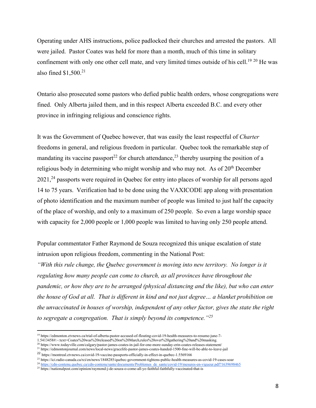Operating under AHS instructions, police padlocked their churches and arrested the pastors. All were jailed. Pastor Coates was held for more than a month, much of this time in solitary confinement with only one other cell mate, and very limited times outside of his cell.<sup>19 20</sup> He was also fined  $$1,500.<sup>21</sup>$ 

Ontario also prosecuted some pastors who defied public health orders, whose congregations were fined. Only Alberta jailed them, and in this respect Alberta exceeded B.C. and every other province in infringing religious and conscience rights.

It was the Government of Quebec however, that was easily the least respectful of *Charter* freedoms in general, and religious freedom in particular. Quebec took the remarkable step of mandating its vaccine passport<sup>22</sup> for church attendance,<sup>23</sup> thereby usurping the position of a religious body in determining who might worship and who may not. As of  $20<sup>th</sup>$  December  $2021<sup>24</sup>$  passports were required in Quebec for entry into places of worship for all persons aged 14 to 75 years. Verification had to be done using the VAXICODE app along with presentation of photo identification and the maximum number of people was limited to just half the capacity of the place of worship, and only to a maximum of 250 people. So even a large worship space with capacity for 2,000 people or 1,000 people was limited to having only 250 people attend.

Popular commentator Father Raymond de Souza recognized this unique escalation of state intrusion upon religious freedom, commenting in the National Post:

*"With this rule change, the Quebec government is moving into new territory. No longer is it regulating how many people can come to church, as all provinces have throughout the pandemic, or how they are to be arranged (physical distancing and the like), but who can enter the house of God at all. That is different in kind and not just degree… a blanket prohibition on the unvaccinated in houses of worship, independent of any other factor, gives the state the right to segregate a congregation. That is simply beyond its competence."<sup>25</sup>*

<sup>19</sup> https://edmonton.ctvnews.ca/trial-of-alberta-pastor-accused-of-flouting-covid-19-health-measures-to-resume-june-7-

<sup>1.5413458#:~:</sup>text=Coates%20was%20released%20on%20March,rules%20over%20gathering%20and%20masking.

<sup>20</sup> https://www.todayville.com/calgary/pastor-james-coates-in-jail-for-one-more-sunday-erin-coates-releases-statement/ <sup>21</sup> https://edmontonjournal.com/news/local-news/gracelife-pastor-james-coates-handed-1500-fine-will-be-able-to-leave-jail

<sup>22</sup> https://montreal.ctvnews.ca/covid-19-vaccine-passports-officially-in-effect-in-quebec-1.5569166

<sup>23</sup> https://ici.radio-canada.ca/rci/en/news/1848285/quebec-government-tightens-public-health-measures-as-covid-19-cases-soar

<sup>24</sup> https://cdn-contenu.quebec.ca/cdn-contenu/sante/documents/Problemes\_de\_sante/covid-19/mesures-en-vigueur.pdf?1639698465

<sup>&</sup>lt;sup>25</sup> https://nationalpost.com/opinion/raymond-j-de-souza-o-come-all-ye-faithful-faithfully-vaccinated-that-is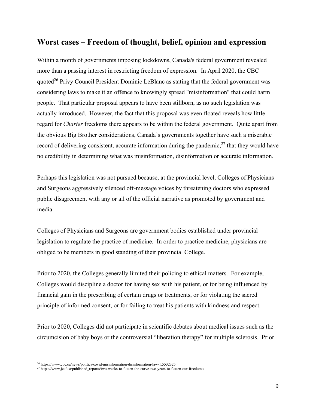#### **Worst cases – Freedom of thought, belief, opinion and expression**

Within a month of governments imposing lockdowns, Canada's federal government revealed more than a passing interest in restricting freedom of expression. In April 2020, the CBC quoted<sup>26</sup> Privy Council President Dominic LeBlanc as stating that the federal government was considering laws to make it an offence to knowingly spread "misinformation" that could harm people. That particular proposal appears to have been stillborn, as no such legislation was actually introduced. However, the fact that this proposal was even floated reveals how little regard for *Charter* freedoms there appears to be within the federal government. Quite apart from the obvious Big Brother considerations, Canada's governments together have such a miserable record of delivering consistent, accurate information during the pandemic,  $27$  that they would have no credibility in determining what was misinformation, disinformation or accurate information.

Perhaps this legislation was not pursued because, at the provincial level, Colleges of Physicians and Surgeons aggressively silenced off-message voices by threatening doctors who expressed public disagreement with any or all of the official narrative as promoted by government and media.

Colleges of Physicians and Surgeons are government bodies established under provincial legislation to regulate the practice of medicine. In order to practice medicine, physicians are obliged to be members in good standing of their provincial College.

Prior to 2020, the Colleges generally limited their policing to ethical matters. For example, Colleges would discipline a doctor for having sex with his patient, or for being influenced by financial gain in the prescribing of certain drugs or treatments, or for violating the sacred principle of informed consent, or for failing to treat his patients with kindness and respect.

Prior to 2020, Colleges did not participate in scientific debates about medical issues such as the circumcision of baby boys or the controversial "liberation therapy" for multiple sclerosis. Prior

<sup>26</sup> https://www.cbc.ca/news/politics/covid-misinformation-disinformation-law-1.5532325

<sup>27</sup> https://www.jccf.ca/published\_reports/two-weeks-to-flatten-the-curve-two-years-to-flatten-our-freedoms/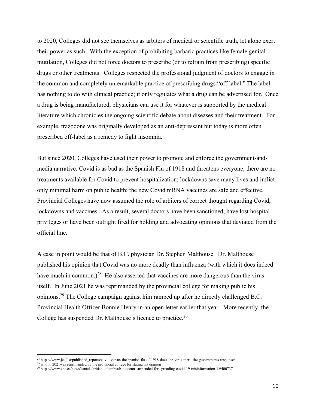to 2020, Colleges did not see themselves as arbiters of medical or scientific truth, let alone exert their power as such. With the exception of prohibiting barbaric practices like female genital mutilation, Colleges did not force doctors to prescribe (or to refrain from prescribing) specific drugs or other treatments. Colleges respected the professional judgment of doctors to engage in the common and completely unremarkable practice of prescribing drugs "off-label." The label has nothing to do with clinical practice; it only regulates what a drug can be advertised for. Once a drug is being manufactured, physicians can use it for whatever is supported by the medical literature which chronicles the ongoing scientific debate about diseases and their treatment. For example, trazodone was originally developed as an anti-depressant but today is more often prescribed off-label as a remedy to fight insomnia.

But since 2020, Colleges have used their power to promote and enforce the government-andmedia narrative: Covid is as bad as the Spanish Flu of 1918 and threatens everyone; there are no treatments available for Covid to prevent hospitalization; lockdowns save many lives and inflict only minimal harm on public health; the new Covid mRNA vaccines are safe and effective. Provincial Colleges have now assumed the role of arbiters of correct thought regarding Covid, lockdowns and vaccines. As a result, several doctors have been sanctioned, have lost hospital privileges or have been outright fired for holding and advocating opinions that deviated from the official line.

A case in point would be that of B.C. physician Dr. Stephen Malthouse. Dr. Malthouse published his opinion that Covid was no more deadly than influenza (with which it does indeed have much in common.)<sup>28</sup> He also asserted that vaccines are more dangerous than the virus itself. In June 2021 he was reprimanded by the provincial college for making public his opinions.29 The College campaign against him ramped up after he directly challenged B.C. Provincial Health Officer Bonnie Henry in an open letter earlier that year. More recently, the College has suspended Dr. Malthouse's licence to practice.<sup>30</sup>

<sup>28</sup> https://www.jccf.ca/published\_reports/covid-versus-the-spanish-flu-of-1918-does-the-virus-merit-the-governments-response/

 $29$  who in 2021 was reprimanded by the provincial college for stating his opinion

<sup>30</sup> https://www.cbc.ca/news/canada/british-columbia/b-c-doctor-suspended-for-spreading-covid-19-misinformation-1.6400737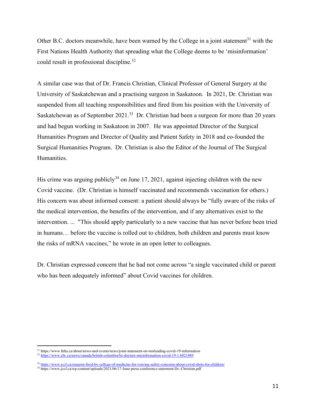Other B.C. doctors meanwhile, have been warned by the College in a joint statement $31$  with the First Nations Health Authority that spreading what the College deems to be 'misinformation' could result in professional discipline.<sup>32</sup>

A similar case was that of Dr. Francis Christian, Clinical Professor of General Surgery at the University of Saskatchewan and a practising surgeon in Saskatoon. In 2021, Dr. Christian was suspended from all teaching responsibilities and fired from his position with the University of Saskatchewan as of September 2021.<sup>33</sup> Dr. Christian had been a surgeon for more than 20 years and had begun working in Saskatoon in 2007. He was appointed Director of the Surgical Humanities Program and Director of Quality and Patient Safety in 2018 and co-founded the Surgical Humanities Program. Dr. Christian is also the Editor of the Journal of The Surgical Humanities.

His crime was arguing publicly<sup>34</sup> on June 17, 2021, against injecting children with the new Covid vaccine. (Dr. Christian is himself vaccinated and recommends vaccination for others.) His concern was about informed consent: a patient should always be "fully aware of the risks of the medical intervention, the benefits of the intervention, and if any alternatives exist to the intervention. ... "This should apply particularly to a new vaccine that has never before been tried in humans… before the vaccine is rolled out to children, both children and parents must know the risks of mRNA vaccines," he wrote in an open letter to colleagues.

Dr. Christian expressed concern that he had not come across "a single vaccinated child or parent who has been adequately informed" about Covid vaccines for children.

<sup>31</sup> https://www.fnha.ca/about/news-and-events/news/joint-statement-on-misleading-covid-19-information

<sup>32</sup> https://www.cbc.ca/news/canada/british-columbia/bc-doctors-misinformation-covid-19-1.6021489

<sup>33</sup> https://www.jccf.ca/surgeon-fired-by-college-of-medicine-for-voicing-safety-concerns-about-covid-shots-for-children/

<sup>&</sup>lt;sup>34</sup> https://www.jccf.ca/wp-content/uploads/2021/06/17-June-press-conference-statement-Dr.-Christian.pdf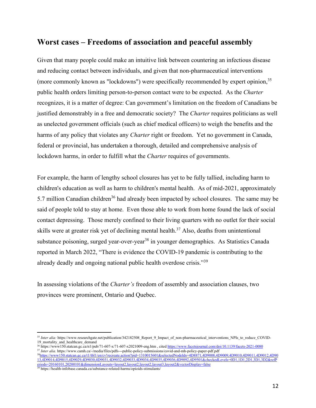#### **Worst cases – Freedoms of association and peaceful assembly**

Given that many people could make an intuitive link between countering an infectious disease and reducing contact between individuals, and given that non-pharmaceutical interventions (more commonly known as "lockdowns") were specifically recommended by expert opinion,  $35$ public health orders limiting person-to-person contact were to be expected. As the *Charter* recognizes, it is a matter of degree: Can government's limitation on the freedom of Canadians be justified demonstrably in a free and democratic society? The *Charter* requires politicians as well as unelected government officials (such as chief medical officers) to weigh the benefits and the harms of any policy that violates any *Charter* right or freedom. Yet no government in Canada, federal or provincial, has undertaken a thorough, detailed and comprehensive analysis of lockdown harms, in order to fulfill what the *Charter* requires of governments.

For example, the harm of lengthy school closures has yet to be fully tallied, including harm to children's education as well as harm to children's mental health. As of mid-2021, approximately 5.7 million Canadian children<sup>36</sup> had already been impacted by school closures. The same may be said of people told to stay at home. Even those able to work from home found the lack of social contact depressing. Those merely confined to their living quarters with no outlet for their social skills were at greater risk yet of declining mental health.<sup>37</sup> Also, deaths from unintentional substance poisoning, surged year-over-year<sup>38</sup> in younger demographics. As Statistics Canada reported in March 2022, "There is evidence the COVID-19 pandemic is contributing to the already deadly and ongoing national public health overdose crisis."<sup>39</sup>

In assessing violations of the *Charter's* freedom of assembly and association clauses, two provinces were prominent, Ontario and Quebec.

<sup>&</sup>lt;sup>35</sup> *Inter alia:* https://www.researchgate.net/publication/342182508 Report 9 Impact of non-pharmaceutical interventions NPIs to reduce COVID-19\_mortality\_and\_healthcare\_demand

<sup>36</sup> https://www150.statcan.gc.ca/n1/pub/71-607-x/71-607-x2021009-eng.htm , cited https://www.facetsjournal.com/doi/10.1139/facets-2021-0080 <sup>37</sup> Inter alia. https://www.camh.ca/-/media/files/pdfs---public-policy-submissions/covid-and-mh-policy-paper-pdf.pdf

<sup>38</sup>https://www150.statcan.gc.ca/t1/tbl1/en/cv!recreate.action?pid=1310015601&selectedNodeIds=4D8871,4D9008,4D9009,4D9010,4D9011,4D9012,4D90 13,4D9014,4D9015,4D9029,4D9030,4D9031,4D9032,4D9033,4D9034,4D9035,4D9036,4D9092,4D9501&checkedLevels=0D1,1D1,2D1,3D1,3D2&refP eriods=20160101,20200101&dimensionLayouts=layout2,layout2,layout2,layout3,layout2&vectorDisplay=false

<sup>&</sup>lt;sup>39</sup> https://health-infobase.canada.ca/substance-related-harms/opioids-stimulants/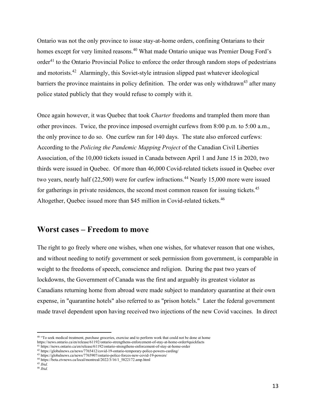Ontario was not the only province to issue stay-at-home orders, confining Ontarians to their homes except for very limited reasons.<sup>40</sup> What made Ontario unique was Premier Doug Ford's order<sup>41</sup> to the Ontario Provincial Police to enforce the order through random stops of pedestrians and motorists.42 Alarmingly, this Soviet-style intrusion slipped past whatever ideological barriers the province maintains in policy definition. The order was only withdrawn<sup>43</sup> after many police stated publicly that they would refuse to comply with it.

Once again however, it was Quebec that took *Charter* freedoms and trampled them more than other provinces. Twice, the province imposed overnight curfews from 8:00 p.m. to 5:00 a.m., the only province to do so. One curfew ran for 140 days. The state also enforced curfews: According to the *Policing the Pandemic Mapping Project* of the Canadian Civil Liberties Association, of the 10,000 tickets issued in Canada between April 1 and June 15 in 2020, two thirds were issued in Quebec. Of more than 46,000 Covid-related tickets issued in Quebec over two years, nearly half (22,500) were for curfew infractions.<sup>44</sup> Nearly 15,000 more were issued for gatherings in private residences, the second most common reason for issuing tickets.<sup>45</sup> Altogether, Quebec issued more than \$45 million in Covid-related tickets.<sup>46</sup>

#### **Worst cases – Freedom to move**

The right to go freely where one wishes, when one wishes, for whatever reason that one wishes, and without needing to notify government or seek permission from government, is comparable in weight to the freedoms of speech, conscience and religion. During the past two years of lockdowns, the Government of Canada was the first and arguably its greatest violator as Canadians returning home from abroad were made subject to mandatory quarantine at their own expense, in "quarantine hotels" also referred to as "prison hotels." Later the federal government made travel dependent upon having received two injections of the new Covid vaccines. In direct

<sup>&</sup>lt;sup>40</sup> "To seek medical treatment, purchase groceries, exercise and to perform work that could not be done at home https://news.ontario.ca/en/release/61192/ontario-strengthens-enforcement-of-stay-at-home-order#quickfacts

<sup>41</sup> https://news.ontario.ca/en/release/61192/ontario-strengthens-enforcement-of-stay-at-home-order

<sup>42</sup> https://globalnews.ca/news/7765412/covid-19-ontario-temporary-police-powers-carding/

<sup>43</sup> https://globalnews.ca/news/7765907/ontario-police-forces-new-covid-19-powers/

<sup>44</sup> https://beta.ctvnews.ca/local/montreal/2022/3/16/1\_5822172.amp.html

<sup>45</sup> *Ibid.*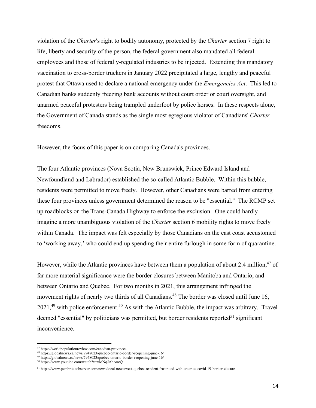violation of the *Charter*'s right to bodily autonomy, protected by the *Charter* section 7 right to life, liberty and security of the person, the federal government also mandated all federal employees and those of federally-regulated industries to be injected. Extending this mandatory vaccination to cross-border truckers in January 2022 precipitated a large, lengthy and peaceful protest that Ottawa used to declare a national emergency under the *Emergencies Act*. This led to Canadian banks suddenly freezing bank accounts without court order or court oversight, and unarmed peaceful protesters being trampled underfoot by police horses. In these respects alone, the Government of Canada stands as the single most egregious violator of Canadians' *Charter* freedoms.

However, the focus of this paper is on comparing Canada's provinces.

The four Atlantic provinces (Nova Scotia, New Brunswick, Prince Edward Island and Newfoundland and Labrador) established the so-called Atlantic Bubble. Within this bubble, residents were permitted to move freely. However, other Canadians were barred from entering these four provinces unless government determined the reason to be "essential." The RCMP set up roadblocks on the Trans-Canada Highway to enforce the exclusion. One could hardly imagine a more unambiguous violation of the *Charter* section 6 mobility rights to move freely within Canada. The impact was felt especially by those Canadians on the east coast accustomed to 'working away,' who could end up spending their entire furlough in some form of quarantine.

However, while the Atlantic provinces have between them a population of about 2.4 million,  $47$  of far more material significance were the border closures between Manitoba and Ontario, and between Ontario and Quebec. For two months in 2021, this arrangement infringed the movement rights of nearly two thirds of all Canadians.<sup>48</sup> The border was closed until June 16,  $2021<sup>49</sup>$  with police enforcement.<sup>50</sup> As with the Atlantic Bubble, the impact was arbitrary. Travel deemed "essential" by politicians was permitted, but border residents reported<sup>51</sup> significant inconvenience.

<sup>47</sup> https://worldpopulationreview.com/canadian-provinces

<sup>48</sup> https://globalnews.ca/news/7948023/quebec-ontario-border-reopening-june-16/

<sup>49</sup> https://globalnews.ca/news/7948023/quebec-ontario-border-reopening-june-16/

<sup>50</sup> https://www.youtube.com/watch?v=xMNqJAhAucQ

<sup>51</sup> https://www.pembrokeobserver.com/news/local-news/west-quebec-resident-frustrated-with-ontarios-covid-19-border-closure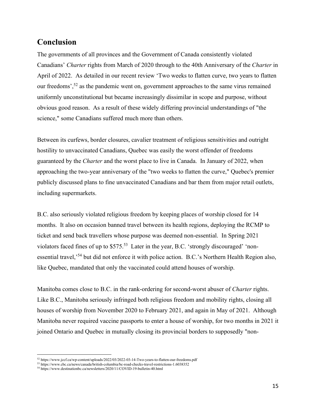# **Conclusion**

The governments of all provinces and the Government of Canada consistently violated Canadians' *Charter* rights from March of 2020 through to the 40th Anniversary of the *Charter* in April of 2022. As detailed in our recent review 'Two weeks to flatten curve, two years to flatten our freedoms',<sup>52</sup> as the pandemic went on, government approaches to the same virus remained uniformly unconstitutional but became increasingly dissimilar in scope and purpose, without obvious good reason. As a result of these widely differing provincial understandings of "the science," some Canadians suffered much more than others.

Between its curfews, border closures, cavalier treatment of religious sensitivities and outright hostility to unvaccinated Canadians, Quebec was easily the worst offender of freedoms guaranteed by the *Charter* and the worst place to live in Canada. In January of 2022, when approaching the two-year anniversary of the "two weeks to flatten the curve," Quebec's premier publicly discussed plans to fine unvaccinated Canadians and bar them from major retail outlets, including supermarkets.

B.C. also seriously violated religious freedom by keeping places of worship closed for 14 months. It also on occasion banned travel between its health regions, deploying the RCMP to ticket and send back travellers whose purpose was deemed non-essential. In Spring 2021 violators faced fines of up to \$575.53 Later in the year, B.C. 'strongly discouraged' 'nonessential travel,'<sup>54</sup> but did not enforce it with police action. B.C.'s Northern Health Region also, like Quebec, mandated that only the vaccinated could attend houses of worship.

Manitoba comes close to B.C. in the rank-ordering for second-worst abuser of *Charter* rights. Like B.C., Manitoba seriously infringed both religious freedom and mobility rights, closing all houses of worship from November 2020 to February 2021, and again in May of 2021. Although Manitoba never required vaccine passports to enter a house of worship, for two months in 2021 it joined Ontario and Quebec in mutually closing its provincial borders to supposedly "non-

<sup>52</sup> https://www.jccf.ca/wp-content/uploads/2022/03/2022-03-14-Two-years-to-flatten-our-freedoms.pdf

<sup>53</sup> https://www.cbc.ca/news/canada/british-columbia/bc-road-checks-travel-restrictions-1.6038352

<sup>54</sup> https://www.destinationbc.ca/newsletters/2020/11/COVID-19-bulletin-40.html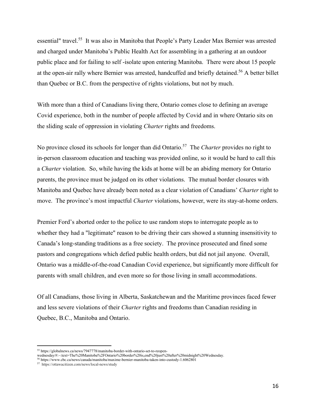essential" travel.<sup>55</sup> It was also in Manitoba that People's Party Leader Max Bernier was arrested and charged under Manitoba's Public Health Act for assembling in a gathering at an outdoor public place and for failing to self -isolate upon entering Manitoba. There were about 15 people at the open-air rally where Bernier was arrested, handcuffed and briefly detained.<sup>56</sup> A better billet than Quebec or B.C. from the perspective of rights violations, but not by much.

With more than a third of Canadians living there, Ontario comes close to defining an average Covid experience, both in the number of people affected by Covid and in where Ontario sits on the sliding scale of oppression in violating *Charter* rights and freedoms.

No province closed its schools for longer than did Ontario. <sup>57</sup> The *Charter* provides no right to in-person classroom education and teaching was provided online, so it would be hard to call this a *Charter* violation. So, while having the kids at home will be an abiding memory for Ontario parents, the province must be judged on its other violations. The mutual border closures with Manitoba and Quebec have already been noted as a clear violation of Canadians' *Charter* right to move. The province's most impactful *Charter* violations, however, were its stay-at-home orders.

Premier Ford's aborted order to the police to use random stops to interrogate people as to whether they had a "legitimate" reason to be driving their cars showed a stunning insensitivity to Canada's long-standing traditions as a free society. The province prosecuted and fined some pastors and congregations which defied public health orders, but did not jail anyone. Overall, Ontario was a middle-of-the-road Canadian Covid experience, but significantly more difficult for parents with small children, and even more so for those living in small accommodations.

Of all Canadians, those living in Alberta, Saskatchewan and the Maritime provinces faced fewer and less severe violations of their *Charter* rights and freedoms than Canadian residing in Quebec, B.C., Manitoba and Ontario.

<sup>55</sup> https://globalnews.ca/news/7947778/manitoba-border-with-ontario-set-to-reopen-

wednesday/#:~:text=The%20Manitoba%2FOntario%20border%20is,end%20just%20after%20midnight%20Wednesday.

<sup>56</sup> https://www.cbc.ca/news/canada/manitoba/maxime-bernier-manitoba-taken-into-custody-1.6062801

<sup>57</sup> https://ottawacitizen.com/news/local-news/study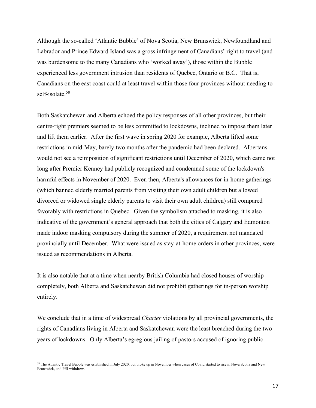Although the so-called 'Atlantic Bubble' of Nova Scotia, New Brunswick, Newfoundland and Labrador and Prince Edward Island was a gross infringement of Canadians' right to travel (and was burdensome to the many Canadians who 'worked away'), those within the Bubble experienced less government intrusion than residents of Quebec, Ontario or B.C. That is, Canadians on the east coast could at least travel within those four provinces without needing to self-isolate.<sup>58</sup>

Both Saskatchewan and Alberta echoed the policy responses of all other provinces, but their centre-right premiers seemed to be less committed to lockdowns, inclined to impose them later and lift them earlier. After the first wave in spring 2020 for example, Alberta lifted some restrictions in mid-May, barely two months after the pandemic had been declared. Albertans would not see a reimposition of significant restrictions until December of 2020, which came not long after Premier Kenney had publicly recognized and condemned some of the lockdown's harmful effects in November of 2020. Even then, Alberta's allowances for in-home gatherings (which banned elderly married parents from visiting their own adult children but allowed divorced or widowed single elderly parents to visit their own adult children) still compared favorably with restrictions in Quebec. Given the symbolism attached to masking, it is also indicative of the government's general approach that both the cities of Calgary and Edmonton made indoor masking compulsory during the summer of 2020, a requirement not mandated provincially until December. What were issued as stay-at-home orders in other provinces, were issued as recommendations in Alberta.

It is also notable that at a time when nearby British Columbia had closed houses of worship completely, both Alberta and Saskatchewan did not prohibit gatherings for in-person worship entirely.

We conclude that in a time of widespread *Charter* violations by all provincial governments, the rights of Canadians living in Alberta and Saskatchewan were the least breached during the two years of lockdowns. Only Alberta's egregious jailing of pastors accused of ignoring public

<sup>58</sup> The Atlantic Travel Bubble was established in July 2020, but broke up in November when cases of Covid started to rise in Nova Scotia and New Brunswick, and PEI withdrew.